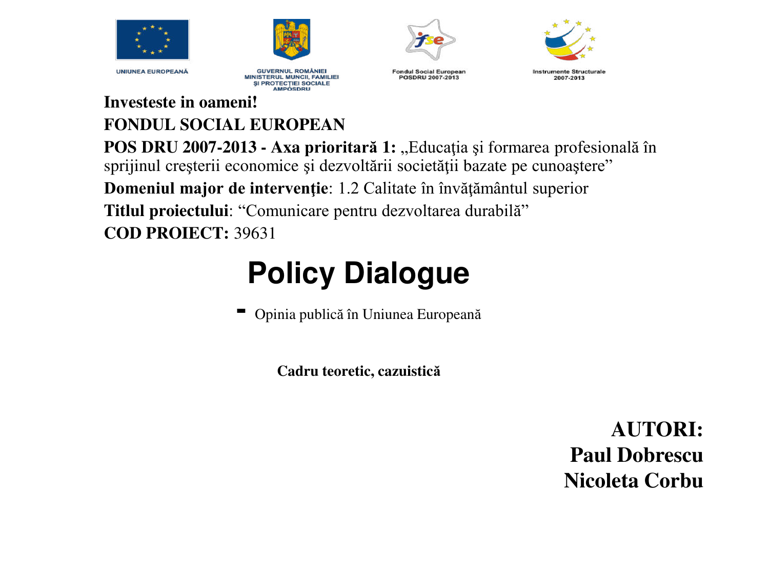



**GUVERNUL ROMÂNIEI MINISTERUL MUNCII, FAMILIEI** SI PROTECTIEI SOCIALE **AMPOSDRU** 



**Fondul Social European** POSDRU 2007-2013

**Instrumente Structurale** 2007-2013

**Investeste in oameni! FONDUL SOCIAL EUROPEAN POS DRU 2007-2013 - Axa prioritară 1:** "Educația și formarea profesională în sprijinul creșterii economice și dezvoltării societății bazate pe cunoaștere" **Domeniul major de intervenţie**: 1.2 Calitate în învăţământul superior **Titlul proiectului**: "Comunicare pentru dezvoltarea durabilă" **COD PROIECT:** 39631

## **Policy Dialogue**

**-** Opinia publică în Uniunea European<sup>ă</sup>

**Cadru teoretic, cazuistică**

**AUTORI: Paul Dobrescu Nicoleta Corbu**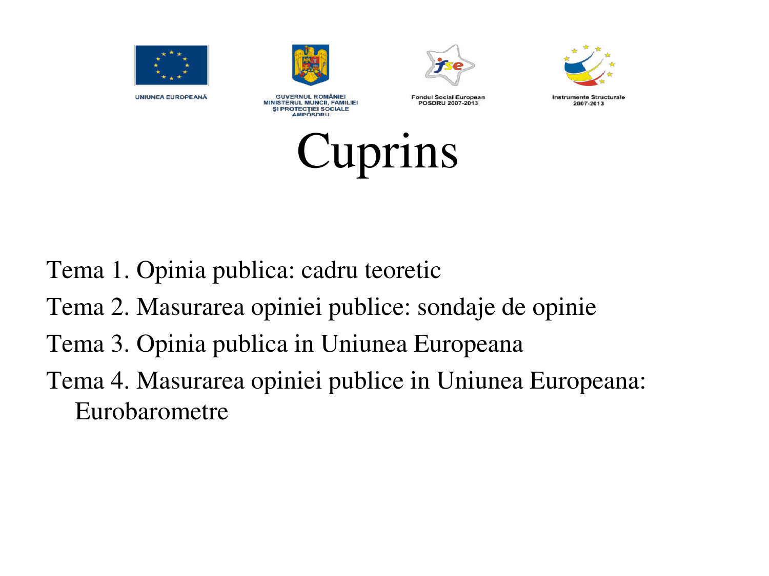



**GUVERNUL ROMÂNIEI** 

**MINISTERUL MUNCII, FAMILIEI** 

SI PROTECTIEI SOCIALE **AMPOSDRU** 







**Instrumente Structurale** 2007-2013



Tema 1. Opinia publica: cadru teoretic

- Tema 2. Masurarea opiniei publice: sondaje de opinie
- Tema 3. Opinia publica in Uniunea Europeana
- Tema 4. Masurarea opiniei publice in Uniunea Europeana: Eurobarometre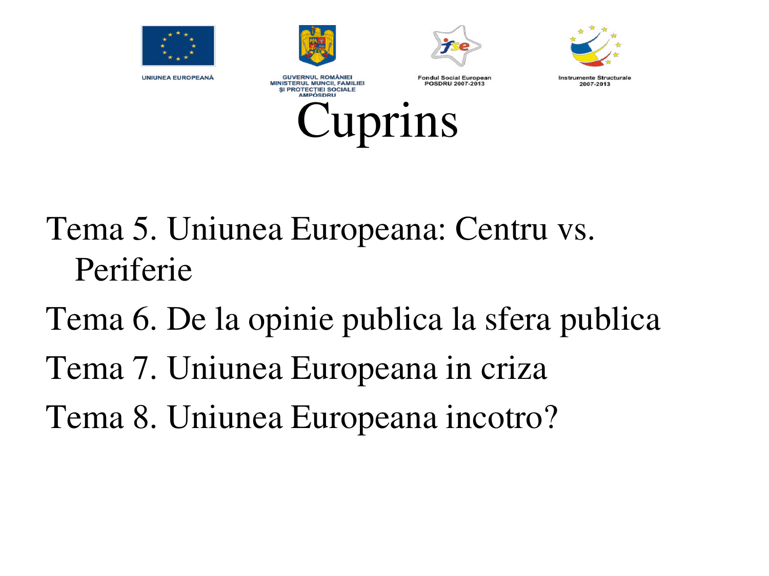







**GUVERNUL ROMÂNIEI MINISTERUL MUNCII, FAMILIEI** SI PROTECTIEI SOCIALE **AMPOSDRU** 

Cuprins

**Fondul Social European** POSDRU 2007-2013

**Instrumente Structurale** 2007-2013

Tema 5. Uniunea Europeana: Centru vs. Periferie

Tema 6. De la opinie publica la sfera publica

Tema 7. Uniunea Europeana in criza

Tema 8. Uniunea Europeana incotro?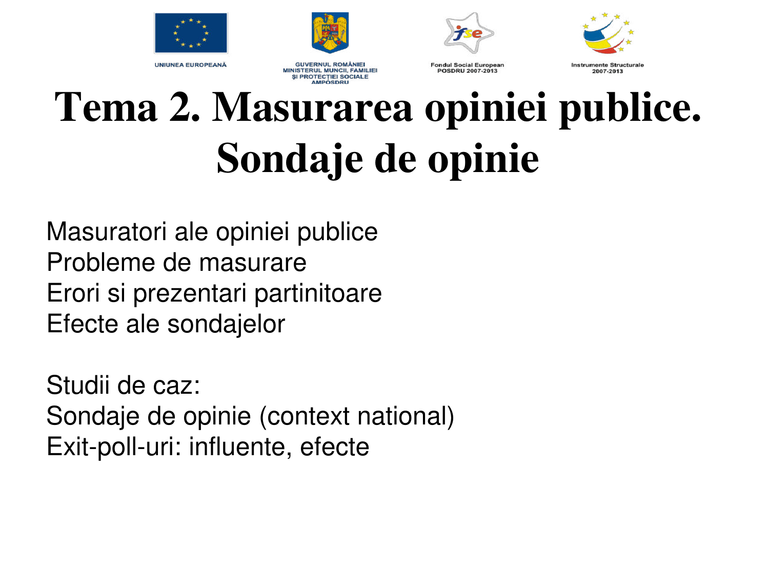



**GUVERNUL ROMÂNIEI** 

MINISTERUL MUNCII, FAMILIEI

SI PROTECTIEI SOCIALE **AMPOSDRU** 



POSDRU 2007-2013



2007-2013

# **Tema 2. Masurarea opiniei publice. Sondaje de opinie**

Masuratori ale opiniei publice Probleme de masurare Erori si prezentari partinitoare Efecte ale sondajelor

Studii de caz: Sondaje de opinie (context national) Exit-poll-uri: influente, efecte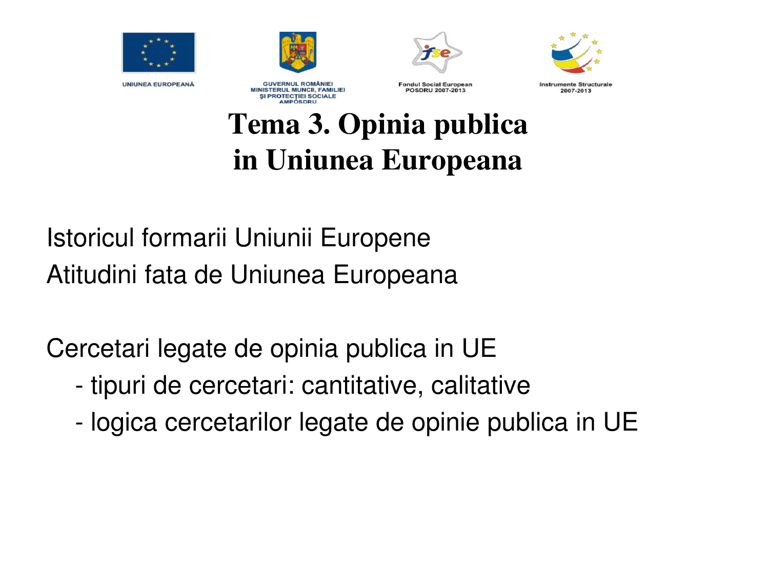







**GUVERNUL ROMÂNIEI MINISTERUL MUNCII, FAMILIEI** *SI PROTECTIEI SOCIALE* **AMPOSDRU** 

**Fondul Social European** POSDRU 2007-2013

**Instrumente Structurale** 2007-2013

### **Tema 3. Opinia publica in Uniunea Europeana**

Istoricul formarii Uniunii Europene Atitudini fata de Uniunea Europeana

Cercetari legate de opinia publica in UE

- tipuri de cercetari: cantitative, calitative
- logica cercetarilor legate de opinie publica in UE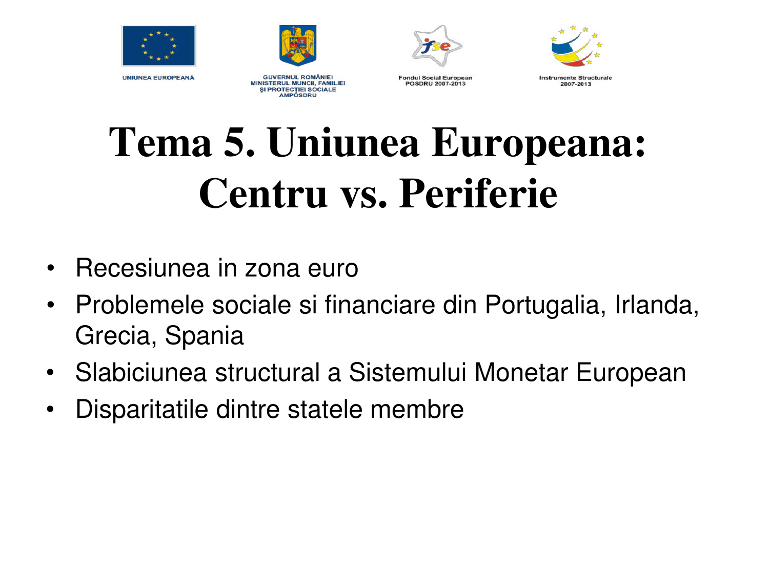







**GUVERNUL ROMÂNIEI MINISTERUL MUNCII, FAMILIEI** SI PROTECTIEI SOCIALE **AMPOSDRU** 

**Enndul Social European** POSDRU 2007-2013

**Instrumente Structurale** 2007-2013

## **Tema 5. Uniunea Europeana: Centru vs. Periferie**

- Recesiunea in zona euro
- Problemele sociale si financiare din Portugalia, Irlanda, Grecia, Spania
- Slabiciunea structural a Sistemului Monetar European
- Disparitatile dintre statele membre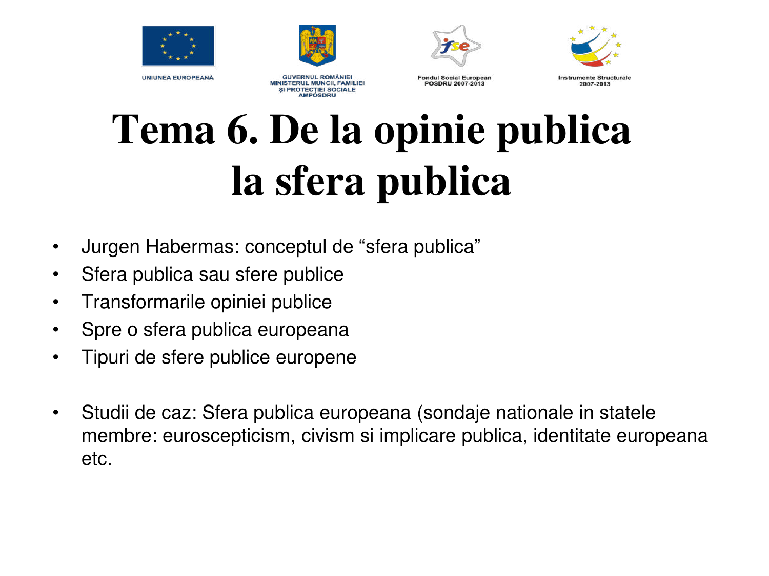







**GUVERNUL ROMÂNIEI MINISTERUL MUNCII, FAMILIEI SI PROTECTIEI SOCIALE AMPOSDRU** 

**Fondul Social European** POSDRU 2007-2013

**Instrumente Structurale** 2007-2013

# **Tema 6. De la opinie publica la sfera publica**

- Jurgen Habermas: conceptul de "sfera publica"
- Sfera publica sau sfere publice
- Transformarile opiniei publice
- Spre o sfera publica europeana
- Tipuri de sfere publice europene
- Studii de caz: Sfera publica europeana (sondaje nationale in statele membre: euroscepticism, civism si implicare publica, identitate europeana etc.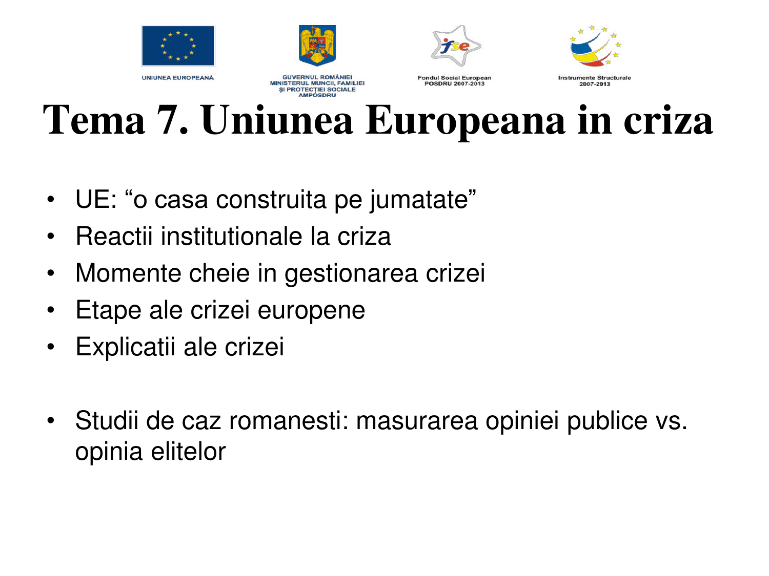







**Instrumente Structurale** 

2007-2013

**UNIUNEA EUROPEANĂ** 

**GUVERNUL ROMÂNIEI MINISTERUL MUNCII, FAMILIEI** SI PROTECTIEI SOCIALE **AMPOSDRU** 

**Fondul Social European** POSDRU 2007-2013

**Tema 7. Uniunea Europeana in criza** 

- UE: "o casa construita pe jumatate"
- Reactii institutionale la criza
- Momente cheie in gestionarea crizei
- Etape ale crizei europene
- Explicatii ale crizei
- Studii de caz romanesti: masurarea opiniei publice vs. opinia elitelor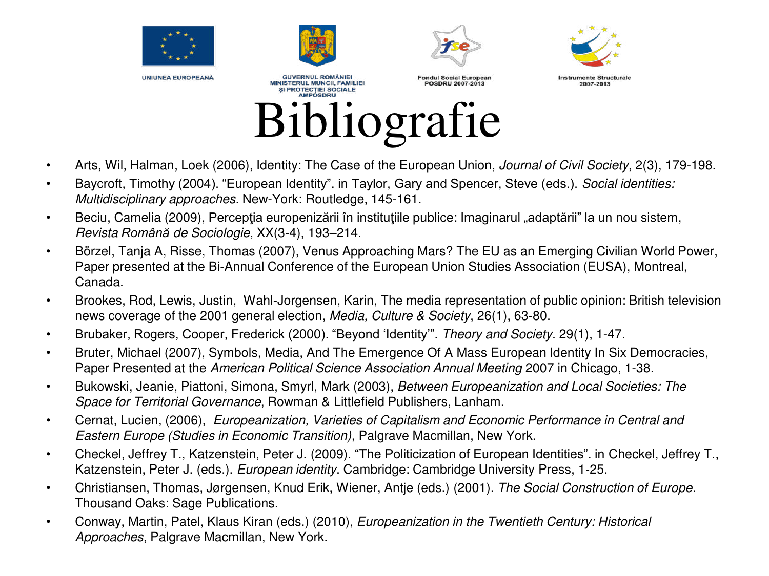

- Arts, Wil, Halman, Loek (2006), Identity: The Case of the European Union, *Journal of Civil Society*, 2(3), 179-198.
- Baycroft, Timothy (2004). "European Identity". in Taylor, Gary and Spencer, Steve (eds.). *Social identities: Multidisciplinary approaches*. New-York: Routledge, 145-161.
- Beciu, Camelia (2009), Percepția europenizării în instituțiile publice: Imaginarul "adaptării" la un nou sistem, *Revista Română de Sociologie*, XX(3-4), 193–214.
- Börzel, Tanja A, Risse, Thomas (2007), Venus Approaching Mars? The EU as an Emerging Civilian World Power, Paper presented at the Bi-Annual Conference of the European Union Studies Association (EUSA), Montreal, Canada.
- Brookes, Rod, Lewis, Justin, Wahl-Jorgensen, Karin, The media representation of public opinion: British television news coverage of the 2001 general election, *Media, Culture & Society*, 26(1), 63-80.
- Brubaker, Rogers, Cooper, Frederick (2000). "Beyond 'Identity'". *Theory and Society*. 29(1), 1-47.
- Bruter, Michael (2007), Symbols, Media, And The Emergence Of A Mass European Identity In Six Democracies, Paper Presented at the *American Political Science Association Annual Meeting* 2007 in Chicago, 1-38.
- Bukowski, Jeanie, Piattoni, Simona, Smyrl, Mark (2003), *Between Europeanization and Local Societies: The Space for Territorial Governance*, Rowman & Littlefield Publishers, Lanham.
- Cernat, Lucien, (2006), *Europeanization, Varieties of Capitalism and Economic Performance in Central and Eastern Europe (Studies in Economic Transition)*, Palgrave Macmillan, New York.
- Checkel, Jeffrey T., Katzenstein, Peter J. (2009). "The Politicization of European Identities". in Checkel, Jeffrey T., Katzenstein, Peter J. (eds.). *European identity*. Cambridge: Cambridge University Press, 1-25.
- Christiansen, Thomas, Jørgensen, Knud Erik, Wiener, Antje (eds.) (2001). *The Social Construction of Europe*. Thousand Oaks: Sage Publications.
- Conway, Martin, Patel, Klaus Kiran (eds.) (2010), *Europeanization in the Twentieth Century: Historical Approaches*, Palgrave Macmillan, New York.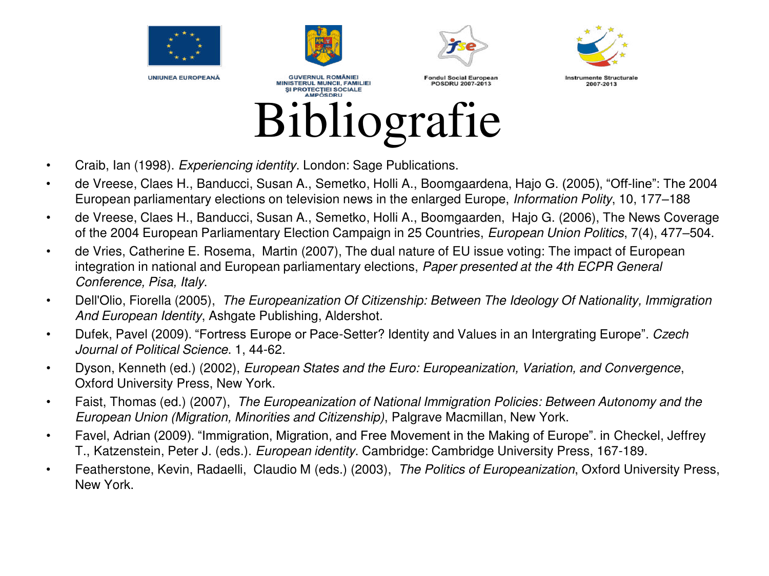



**GUVERNUL ROMÂNIEI** 

**MINISTERUL MUNCII, FAMILIEI** 



**Enndul Social European** 

POSDRU 2007-2013



**Instrumente Structurale** 2007-2013

SI PROTECTIEI SOCIALE **AMPOSDRU** Bibliografie

- Craib, Ian (1998). *Experiencing identity*. London: Sage Publications.
- de Vreese, Claes H., Banducci, Susan A., Semetko, Holli A., Boomgaardena, Hajo G. (2005), "Off-line": The 2004 European parliamentary elections on television news in the enlarged Europe, *Information Polity*, 10, 177–188
- de Vreese, Claes H., Banducci, Susan A., Semetko, Holli A., Boomgaarden, Hajo G. (2006), The News Coverage of the 2004 European Parliamentary Election Campaign in 25 Countries, *European Union Politics*, 7(4), 477–504.
- de Vries, Catherine E. Rosema, Martin (2007), The dual nature of EU issue voting: The impact of European integration in national and European parliamentary elections, *Paper presented at the 4th ECPR General Conference, Pisa, Italy*.
- Dell'Olio, Fiorella (2005), *The Europeanization Of Citizenship: Between The Ideology Of Nationality, Immigration And European Identity*, Ashgate Publishing, Aldershot.
- Dufek, Pavel (2009). "Fortress Europe or Pace-Setter? Identity and Values in an Intergrating Europe". *Czech Journal of Political Science*. 1, 44-62.
- Dyson, Kenneth (ed.) (2002), *European States and the Euro: Europeanization, Variation, and Convergence*, Oxford University Press, New York.
- Faist, Thomas (ed.) (2007), *The Europeanization of National Immigration Policies: Between Autonomy and the European Union (Migration, Minorities and Citizenship)*, Palgrave Macmillan, New York.
- Favel, Adrian (2009). "Immigration, Migration, and Free Movement in the Making of Europe". in Checkel, Jeffrey T., Katzenstein, Peter J. (eds.). *European identity*. Cambridge: Cambridge University Press, 167-189.
- Featherstone, Kevin, Radaelli, Claudio M (eds.) (2003), *The Politics of Europeanization*, Oxford University Press, New York.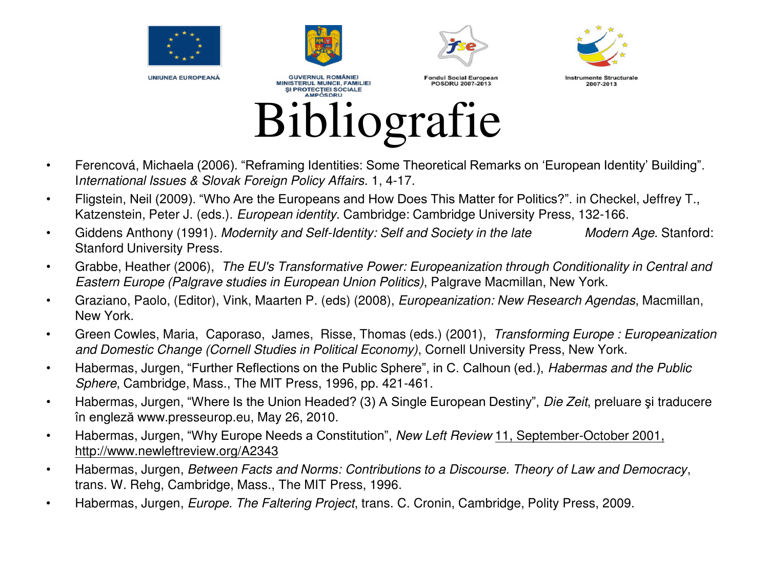



**GUVERNUL ROMÂNIEI** 

**MINISTERUL MUNCII, FAMILIEI** 



**Enndul Social European** 



**Instrumente Structurale** 2007-2013



- Ferencová, Michaela (2006). "Reframing Identities: Some Theoretical Remarks on 'European Identity' Building". I*nternational Issues & Slovak Foreign Policy Affairs*. 1, 4-17.
- Fligstein, Neil (2009). "Who Are the Europeans and How Does This Matter for Politics?". in Checkel, Jeffrey T., Katzenstein, Peter J. (eds.). *European identity*. Cambridge: Cambridge University Press, 132-166.
- Giddens Anthony (1991). *Modernity and Self-Identity: Self and Society in the late Modern Age*. Stanford: Stanford University Press.
- Grabbe, Heather (2006), *The EU's Transformative Power: Europeanization through Conditionality in Central and Eastern Europe (Palgrave studies in European Union Politics)*, Palgrave Macmillan, New York.
- Graziano, Paolo, (Editor), Vink, Maarten P. (eds) (2008), *Europeanization: New Research Agendas*, Macmillan, New York.
- Green Cowles, Maria, Caporaso, James, Risse, Thomas (eds.) (2001), *Transforming Europe : Europeanization and Domestic Change (Cornell Studies in Political Economy)*, Cornell University Press, New York.
- Habermas, Jurgen, "Further Reflections on the Public Sphere", in C. Calhoun (ed.), *Habermas and the Public Sphere*, Cambridge, Mass., The MIT Press, 1996, pp. 421-461.
- Habermas, Jurgen, "Where Is the Union Headed? (3) A Single European Destiny", *Die Zeit*, preluare şi traducere în engleză www.presseurop.eu, May 26, 2010.
- Habermas, Jurgen, "Why Europe Needs a Constitution", *New Left Review* 11, September-October 2001, http://www.newleftreview.org/A2343
- Habermas, Jurgen, *Between Facts and Norms: Contributions to a Discourse. Theory of Law and Democracy*, trans. W. Rehg, Cambridge, Mass., The MIT Press, 1996.
- Habermas, Jurgen, *Europe. The Faltering Project*, trans. C. Cronin, Cambridge, Polity Press, 2009.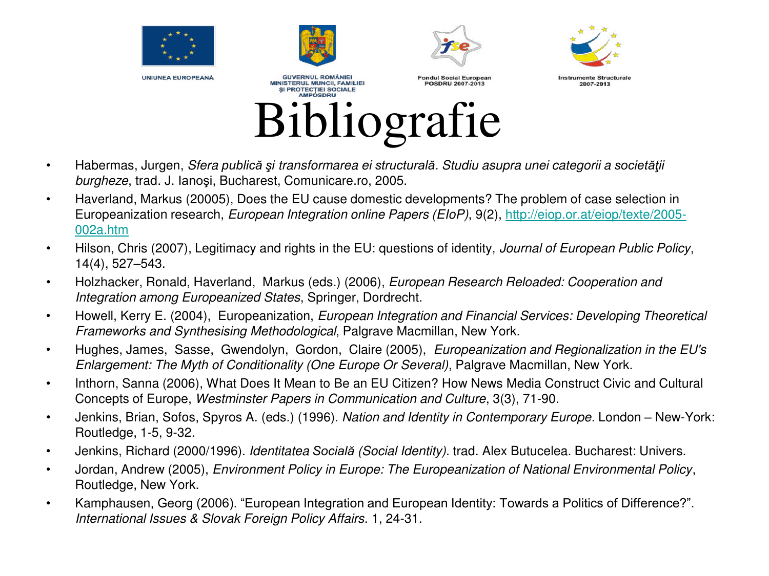

- Habermas, Jurgen, *Sfera publică şi transformarea ei structurală. Studiu asupra unei categorii a societăţii burgheze*, trad. J. Ianoşi, Bucharest, Comunicare.ro, 2005.
- Haverland, Markus (20005), Does the EU cause domestic developments? The problem of case selection in Europeanization research, *European Integration online Papers (EIoP)*, 9(2), [http://eiop.or.at/eiop/texte/2005-](http://eiop.or.at/eiop/texte/2005-002a.htm) [002a.htm](http://eiop.or.at/eiop/texte/2005-002a.htm)
- Hilson, Chris (2007), Legitimacy and rights in the EU: questions of identity, *Journal of European Public Policy*, 14(4), 527–543.
- Holzhacker, Ronald, Haverland, Markus (eds.) (2006), *European Research Reloaded: Cooperation and Integration among Europeanized States*, Springer, Dordrecht.
- Howell, Kerry E. (2004), Europeanization, *European Integration and Financial Services: Developing Theoretical Frameworks and Synthesising Methodological*, Palgrave Macmillan, New York.
- Hughes, James, Sasse, Gwendolyn, Gordon, Claire (2005), *Europeanization and Regionalization in the EU's Enlargement: The Myth of Conditionality (One Europe Or Several)*, Palgrave Macmillan, New York.
- Inthorn, Sanna (2006), What Does It Mean to Be an EU Citizen? How News Media Construct Civic and Cultural Concepts of Europe, *Westminster Papers in Communication and Culture*, 3(3), 71-90.
- Jenkins, Brian, Sofos, Spyros A. (eds.) (1996). *Nation and Identity in Contemporary Europe*. London New-York: Routledge, 1-5, 9-32.
- Jenkins, Richard (2000/1996). *Identitatea Socială (Social Identity)*. trad. Alex Butucelea. Bucharest: Univers.
- Jordan, Andrew (2005), *Environment Policy in Europe: The Europeanization of National Environmental Policy*, Routledge, New York.
- Kamphausen, Georg (2006). "European Integration and European Identity: Towards a Politics of Difference?". *International Issues & Slovak Foreign Policy Affairs*. 1, 24-31.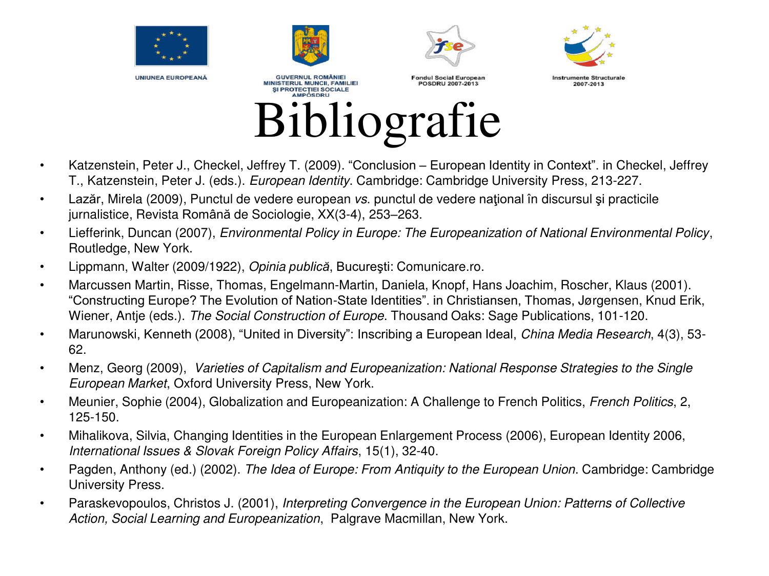



SI PROTECTIEI SOCIALE





**Fondul Social European MINISTERUL MUNCII, FAMILIEI** POSDRU 2007-2013

**Instrumente Structurale** 2007-2013

#### **AMPOSDRU** Bibliografie

- Katzenstein, Peter J., Checkel, Jeffrey T. (2009). "Conclusion European Identity in Context". in Checkel, Jeffrey T., Katzenstein, Peter J. (eds.). *European Identity*. Cambridge: Cambridge University Press, 213-227.
- Lazăr, Mirela (2009), Punctul de vedere european *vs*. punctul de vedere naţional în discursul şi practicile jurnalistice, Revista Română de Sociologie, XX(3-4), 253–263.
- Liefferink, Duncan (2007), *Environmental Policy in Europe: The Europeanization of National Environmental Policy*, Routledge, New York.
- Lippmann, Walter (2009/1922), *Opinia publică*, Bucureşti: Comunicare.ro.
- Marcussen Martin, Risse, Thomas, Engelmann-Martin, Daniela, Knopf, Hans Joachim, Roscher, Klaus (2001). "Constructing Europe? The Evolution of Nation-State Identities". in Christiansen, Thomas, Jørgensen, Knud Erik, Wiener, Antje (eds.). *The Social Construction of Europe*. Thousand Oaks: Sage Publications, 101-120.
- Marunowski, Kenneth (2008), "United in Diversity": Inscribing a European Ideal, *China Media Research*, 4(3), 53- 62.
- Menz, Georg (2009), *Varieties of Capitalism and Europeanization: National Response Strategies to the Single European Market*, Oxford University Press, New York.
- Meunier, Sophie (2004), Globalization and Europeanization: A Challenge to French Politics, *French Politics*, 2, 125-150.
- Mihalikova, Silvia, Changing Identities in the European Enlargement Process (2006), European Identity 2006, *International Issues & Slovak Foreign Policy Affairs*, 15(1), 32-40.
- Pagden, Anthony (ed.) (2002). *The Idea of Europe: From Antiquity to the European Union*. Cambridge: Cambridge University Press.
- Paraskevopoulos, Christos J. (2001), *Interpreting Convergence in the European Union: Patterns of Collective Action, Social Learning and Europeanization*, Palgrave Macmillan, New York.